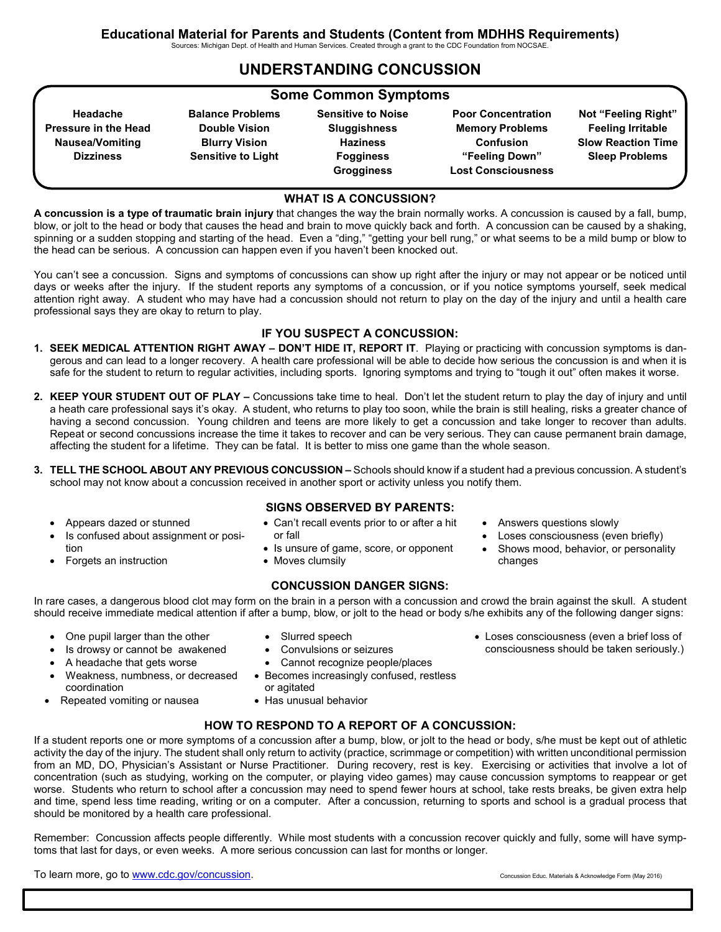Sources: Michigan Dept. of Health and Human Services. Created through a grant to the CDC Foundation from NOCSAE.

### **UNDERSTANDING CONCUSSION**

#### **Some Common Symptoms**

**Headache Pressure in the Head Nausea/Vomiting Dizziness Balance Problems Double Vision Blurry Vision Sensitive to Light Sensitive to Noise Sluggishness Haziness Fogginess Grogginess Poor Concentration Memory Problems Confusion "Feeling Down" Lost Consciousness Not "Feeling Right" Feeling Irritable Slow Reaction Time Sleep Problems**

#### **WHAT IS A CONCUSSION?**

**A concussion is a type of traumatic brain injury** that changes the way the brain normally works. A concussion is caused by a fall, bump, blow, or jolt to the head or body that causes the head and brain to move quickly back and forth. A concussion can be caused by a shaking, spinning or a sudden stopping and starting of the head. Even a "ding," "getting your bell rung," or what seems to be a mild bump or blow to the head can be serious. A concussion can happen even if you haven't been knocked out.

You can't see a concussion. Signs and symptoms of concussions can show up right after the injury or may not appear or be noticed until days or weeks after the injury. If the student reports any symptoms of a concussion, or if you notice symptoms yourself, seek medical attention right away. A student who may have had a concussion should not return to play on the day of the injury and until a health care professional says they are okay to return to play.

#### **IF YOU SUSPECT A CONCUSSION:**

- **1. SEEK MEDICAL ATTENTION RIGHT AWAY DON'T HIDE IT, REPORT IT**. Playing or practicing with concussion symptoms is dangerous and can lead to a longer recovery. A health care professional will be able to decide how serious the concussion is and when it is safe for the student to return to regular activities, including sports. Ignoring symptoms and trying to "tough it out" often makes it worse.
- **2. KEEP YOUR STUDENT OUT OF PLAY** Concussions take time to heal. Don't let the student return to play the day of injury and until a heath care professional says it's okay. A student, who returns to play too soon, while the brain is still healing, risks a greater chance of having a second concussion. Young children and teens are more likely to get a concussion and take longer to recover than adults. Repeat or second concussions increase the time it takes to recover and can be very serious. They can cause permanent brain damage, affecting the student for a lifetime. They can be fatal. It is better to miss one game than the whole season.
- **3. TELL THE SCHOOL ABOUT ANY PREVIOUS CONCUSSION** Schools should know if a student had a previous concussion. A student's school may not know about a concussion received in another sport or activity unless you notify them.
	- Appears dazed or stunned
	- Is confused about assignment or position
	- Forgets an instruction
- **SIGNS OBSERVED BY PARENTS:**
- Can't recall events prior to or after a hit or fall
- Is unsure of game, score, or opponent
- Moves clumsily

#### **CONCUSSION DANGER SIGNS:**

In rare cases, a dangerous blood clot may form on the brain in a person with a concussion and crowd the brain against the skull. A student should receive immediate medical attention if after a bump, blow, or jolt to the head or body s/he exhibits any of the following danger signs:

- One pupil larger than the other
- Is drowsy or cannot be awakened
- A headache that gets worse
- Weakness, numbness, or decreased coordination
- Repeated vomiting or nausea
- Slurred speech • Convulsions or seizures Cannot recognize people/places
- Becomes increasingly confused, restless or agitated
- Has unusual behavior

#### **HOW TO RESPOND TO A REPORT OF A CONCUSSION:**

If a student reports one or more symptoms of a concussion after a bump, blow, or jolt to the head or body, s/he must be kept out of athletic activity the day of the injury. The student shall only return to activity (practice, scrimmage or competition) with written unconditional permission from an MD, DO, Physician's Assistant or Nurse Practitioner. During recovery, rest is key. Exercising or activities that involve a lot of concentration (such as studying, working on the computer, or playing video games) may cause concussion symptoms to reappear or get worse. Students who return to school after a concussion may need to spend fewer hours at school, take rests breaks, be given extra help and time, spend less time reading, writing or on a computer. After a concussion, returning to sports and school is a gradual process that should be monitored by a health care professional.

Remember: Concussion affects people differently. While most students with a concussion recover quickly and fully, some will have symptoms that last for days, or even weeks. A more serious concussion can last for months or longer.

To learn more, go to [www.cdc.gov/concussion.](http://www.cdc.gov/concussion)<br>
Concussion Educ. Materials & Acknowledge Form (May 2016)

- Loses consciousness (even a brief loss of consciousness should be taken seriously.)
- Answers questions slowly Loses consciousness (even briefly) Shows mood, behavior, or personality changes